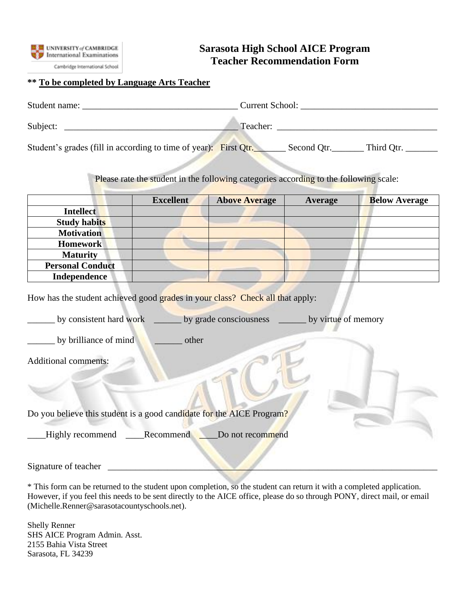

Cambridge International School

## **Sarasota High School AICE Program Teacher Recommendation Form**

## **\*\* To be completed by Language Arts Teacher**

| Student name:                                                    | Current School:           |
|------------------------------------------------------------------|---------------------------|
| Subject:                                                         | Teacher:                  |
| Student's grades (fill in according to time of year): First Qtr. | Second Otr.<br>Third Qtr. |

Please rate the student in the following categories according to the following scale:

|                         | <b>Excellent</b> | <b>Above Average</b> | <b>Average</b> | <b>Below Average</b> |
|-------------------------|------------------|----------------------|----------------|----------------------|
| <b>Intellect</b>        |                  |                      |                |                      |
| <b>Study habits</b>     |                  |                      |                |                      |
| <b>Motivation</b>       |                  |                      |                |                      |
| <b>Homework</b>         |                  |                      |                |                      |
| <b>Maturity</b>         |                  |                      |                |                      |
| <b>Personal Conduct</b> |                  |                      |                |                      |
| <b>Independence</b>     |                  |                      |                |                      |

How has the student achieved good grades in your class? Check all that apply:

by consistent hard work by grade consciousness by virtue of memory

by brilliance of mind subsetsure other

Additional comments:

|  |  |  |  |  |  |  | Do you believe this student is a good candidate for the AICE Program? |  |  |  |  |  |
|--|--|--|--|--|--|--|-----------------------------------------------------------------------|--|--|--|--|--|
|--|--|--|--|--|--|--|-----------------------------------------------------------------------|--|--|--|--|--|

Highly recommend Recommend Do not recommend

Signature of teacher

\* This form can be returned to the student upon completion, so the student can return it with a completed application. However, if you feel this needs to be sent directly to the AICE office, please do so through PONY, direct mail, or email (Michelle.Renner@sarasotacountyschools.net).

Shelly Renner SHS AICE Program Admin. Asst. 2155 Bahia Vista Street Sarasota, FL 34239